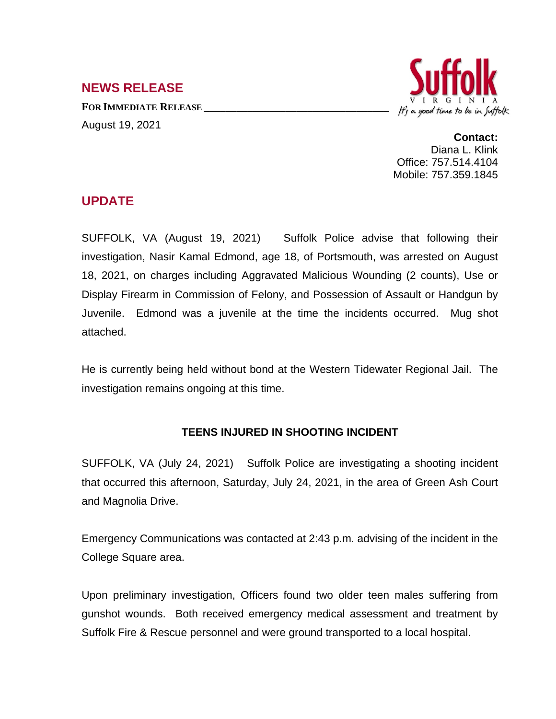## **NEWS RELEASE**

**FOR IMMEDIATE RELEASE \_\_\_\_\_\_\_\_\_\_\_\_\_\_\_\_\_\_\_\_\_\_\_\_\_\_\_\_\_\_\_\_\_\_** August 19, 2021



**Contact:** Diana L. Klink Office: 757.514.4104 Mobile: 757.359.1845

## **UPDATE**

SUFFOLK, VA (August 19, 2021) Suffolk Police advise that following their investigation, Nasir Kamal Edmond, age 18, of Portsmouth, was arrested on August 18, 2021, on charges including Aggravated Malicious Wounding (2 counts), Use or Display Firearm in Commission of Felony, and Possession of Assault or Handgun by Juvenile. Edmond was a juvenile at the time the incidents occurred. Mug shot attached.

He is currently being held without bond at the Western Tidewater Regional Jail. The investigation remains ongoing at this time.

## **TEENS INJURED IN SHOOTING INCIDENT**

SUFFOLK, VA (July 24, 2021) Suffolk Police are investigating a shooting incident that occurred this afternoon, Saturday, July 24, 2021, in the area of Green Ash Court and Magnolia Drive.

Emergency Communications was contacted at 2:43 p.m. advising of the incident in the College Square area.

Upon preliminary investigation, Officers found two older teen males suffering from gunshot wounds. Both received emergency medical assessment and treatment by Suffolk Fire & Rescue personnel and were ground transported to a local hospital.